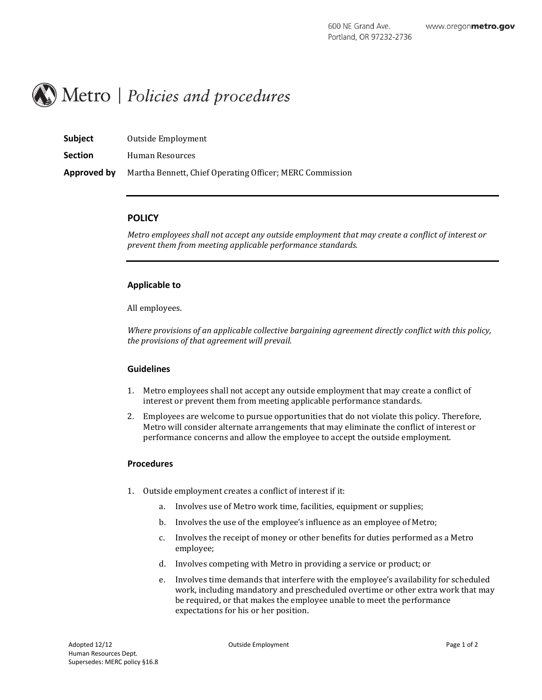

| <b>Subject</b> | Outside Employment                                       |
|----------------|----------------------------------------------------------|
| <b>Section</b> | Human Resources                                          |
| Approved by    | Martha Bennett, Chief Operating Officer; MERC Commission |

# **POLICY**

*Metro employees shall not accept any outside employment that may create a conflict of interest or prevent them from meeting applicable performance standards.*

## **Applicable to**

All employees.

*Where provisions of an applicable collective bargaining agreement directly conflict with this policy, the provisions of that agreement will prevail.*

#### **Guidelines**

- 1. Metro employees shall not accept any outside employment that may create a conflict of interest or prevent them from meeting applicable performance standards.
- 2. Employees are welcome to pursue opportunities that do not violate this policy. Therefore, Metro will consider alternate arrangements that may eliminate the conflict of interest or performance concerns and allow the employee to accept the outside employment.

#### **Procedures**

- 1. Outside employment creates a conflict of interest if it:
	- a. Involves use of Metro work time, facilities, equipment or supplies;
	- b. Involves the use of the employee's influence as an employee of Metro;
	- c. Involves the receipt of money or other benefits for duties performed as a Metro employee;
	- d. Involves competing with Metro in providing a service or product; or
	- e. Involves time demands that interfere with the employee's availability for scheduled work, including mandatory and prescheduled overtime or other extra work that may be required, or that makes the employee unable to meet the performance expectations for his or her position.